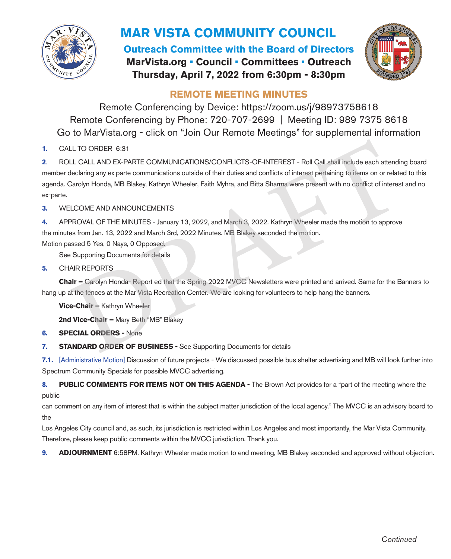

## **MAR VISTA COMMUNITY COUNCIL**

**Outreach Committee with the Board of Directors MarVista.org • Council • Committees • Outreach Thursday, April 7, 2022 from 6:30pm - 8:30pm**



## **REMOTE MEETING MINUTES**

Remote Conferencing by Device: https://zoom.us/j/98973758618 Remote Conferencing by Phone: 720-707-2699 | Meeting ID: 989 7375 8618 Go to MarVista.org - click on "Join Our Remote Meetings" for supplemental information

**1.** CALL TO ORDER 6:31

**2**. ROLL CALL AND EX-PARTE COMMUNICATIONS/CONFLICTS-OF-INTEREST - Roll Call shall include each attending board member declaring any ex parte communications outside of their duties and conflicts of interest pertaining to items on or related to this agenda. Carolyn Honda, MB Blakey, Kathryn Wheeler, Faith Myhra, and Bitta Sharma were present with no conflict of interest and no ex-parte. LL TO ORDER 6:31<br>LL CALL AND EX-PARTE COMMUNICATIONS/CONFLICTS-OF-INTEREST - Roll Call shall include each attendite<br>declaring any ex parte communications outside of their duties and conflicts of interest pertaining to item

**3.** WELCOME AND ANNOUNCEMENTS

**4.** APPROVAL OF THE MINUTES - January 13, 2022, and March 3, 2022. Kathryn Wheeler made the motion to approve the minutes from Jan. 13, 2022 and March 3rd, 2022 Minutes. MB Blakey seconded the motion.

Motion passed 5 Yes, 0 Nays, 0 Opposed.

See Supporting Documents for details

**5.** CHAIR REPORTS

**Chair –** Carolyn Honda- Report ed that the Spring 2022 MVCC Newsletters were printed and arrived. Same for the Banners to hang up at the fences at the Mar Vista Recreation Center. We are looking for volunteers to help hang the banners.

**Vice-Chair –** Kathryn Wheeler

**2nd Vice-Chair –** Mary Beth "MB" Blakey

**6. SPECIAL ORDERS -** None

**7. STANDARD ORDER OF BUSINESS -** See Supporting Documents for details

**7.1.** [Administrative Motion] Discussion of future projects - We discussed possible bus shelter advertising and MB will look further into Spectrum Community Specials for possible MVCC advertising.

8. **PUBLIC COMMENTS FOR ITEMS NOT ON THIS AGENDA -** The Brown Act provides for a "part of the meeting where the public

can comment on any item of interest that is within the subject matter jurisdiction of the local agency." The MVCC is an advisory board to the

Los Angeles City council and, as such, its jurisdiction is restricted within Los Angeles and most importantly, the Mar Vista Community. Therefore, please keep public comments within the MVCC jurisdiction. Thank you.

**9. ADJOURNMENT** 6:58PM. Kathryn Wheeler made motion to end meeting, MB Blakey seconded and approved without objection.